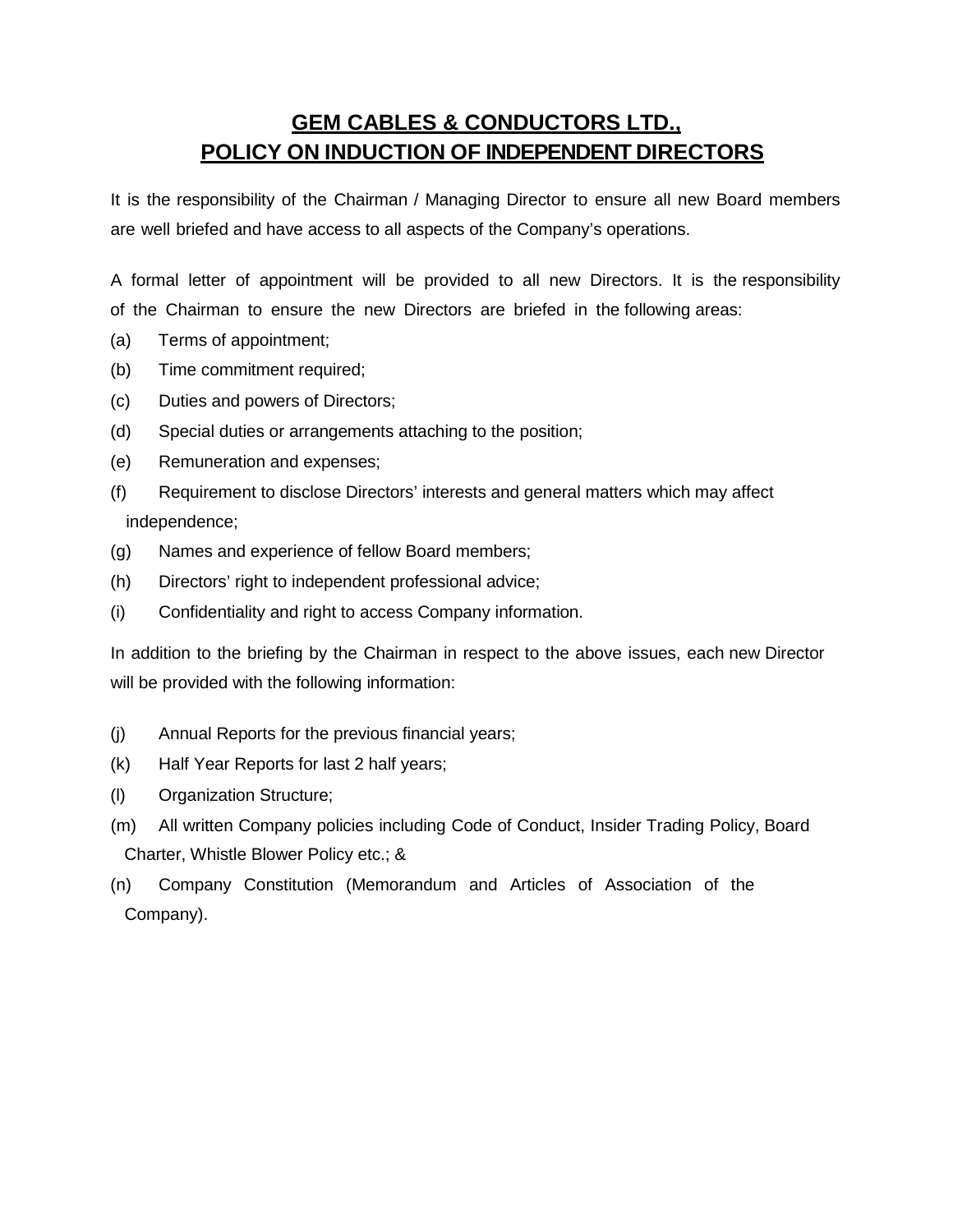## **GEM CABLES & CONDUCTORS LTD., POLICY ON INDUCTION OF INDEPENDENT DIRECTORS**

It is the responsibility of the Chairman / Managing Director to ensure all new Board members are well briefed and have access to all aspects of the Company's operations.

A formal letter of appointment will be provided to all new Directors. It is the responsibility of the Chairman to ensure the new Directors are briefed in the following areas:

- (a) Terms of appointment;
- (b) Time commitment required;
- (c) Duties and powers of Directors;
- (d) Special duties or arrangements attaching to the position;
- (e) Remuneration and expenses;
- (f) Requirement to disclose Directors' interests and general matters which may affect independence;
- (g) Names and experience of fellow Board members;
- (h) Directors' right to independent professional advice;
- (i) Confidentiality and right to access Company information.

In addition to the briefing by the Chairman in respect to the above issues, each new Director will be provided with the following information:

- (j) Annual Reports for the previous financial years;
- (k) Half Year Reports for last 2 half years;
- (l) Organization Structure;
- (m) All written Company policies including Code of Conduct, Insider Trading Policy, Board Charter, Whistle Blower Policy etc.; &
- (n) Company Constitution (Memorandum and Articles of Association of the Company).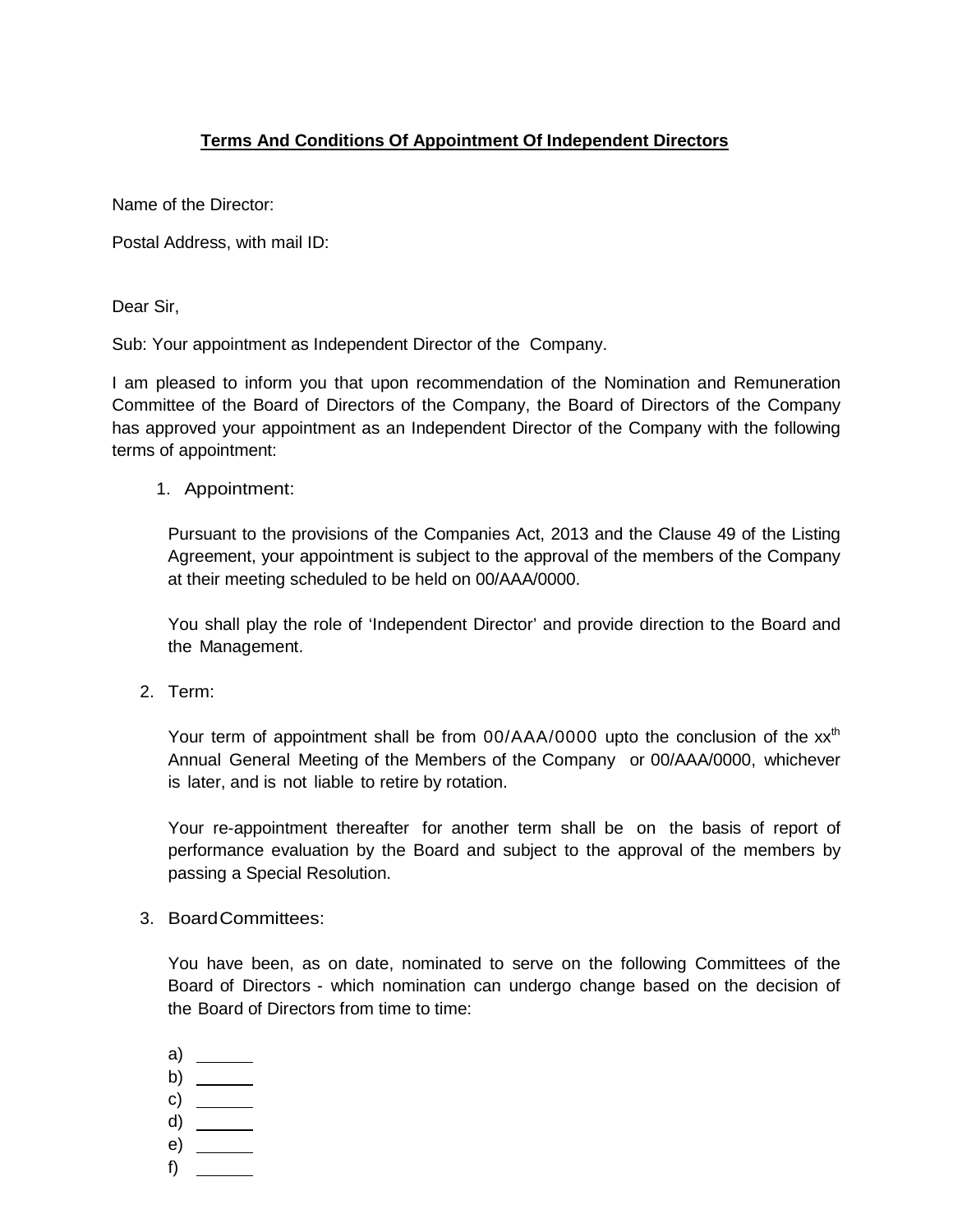## **Terms And Conditions Of Appointment Of Independent Directors**

Name of the Director:

Postal Address, with mail ID:

Dear Sir,

Sub: Your appointment as Independent Director of the Company.

I am pleased to inform you that upon recommendation of the Nomination and Remuneration Committee of the Board of Directors of the Company, the Board of Directors of the Company has approved your appointment as an Independent Director of the Company with the following terms of appointment:

1. Appointment:

Pursuant to the provisions of the Companies Act, 2013 and the Clause 49 of the Listing Agreement, your appointment is subject to the approval of the members of the Company at their meeting scheduled to be held on 00/AAA/0000.

You shall play the role of 'Independent Director' and provide direction to the Board and the Management.

2. Term:

Your term of appointment shall be from 00/AAA/0000 upto the conclusion of the xx<sup>th</sup> Annual General Meeting of the Members of the Company or 00/AAA/0000, whichever is later, and is not liable to retire by rotation.

Your re-appointment thereafter for another term shall be on the basis of report of performance evaluation by the Board and subject to the approval of the members by passing a Special Resolution.

3. BoardCommittees:

You have been, as on date, nominated to serve on the following Committees of the Board of Directors - which nomination can undergo change based on the decision of the Board of Directors from time to time:

a) b)  $\frac{\ }{\ }$ c) d) e) \_\_\_\_\_\_ f)  $\qquad$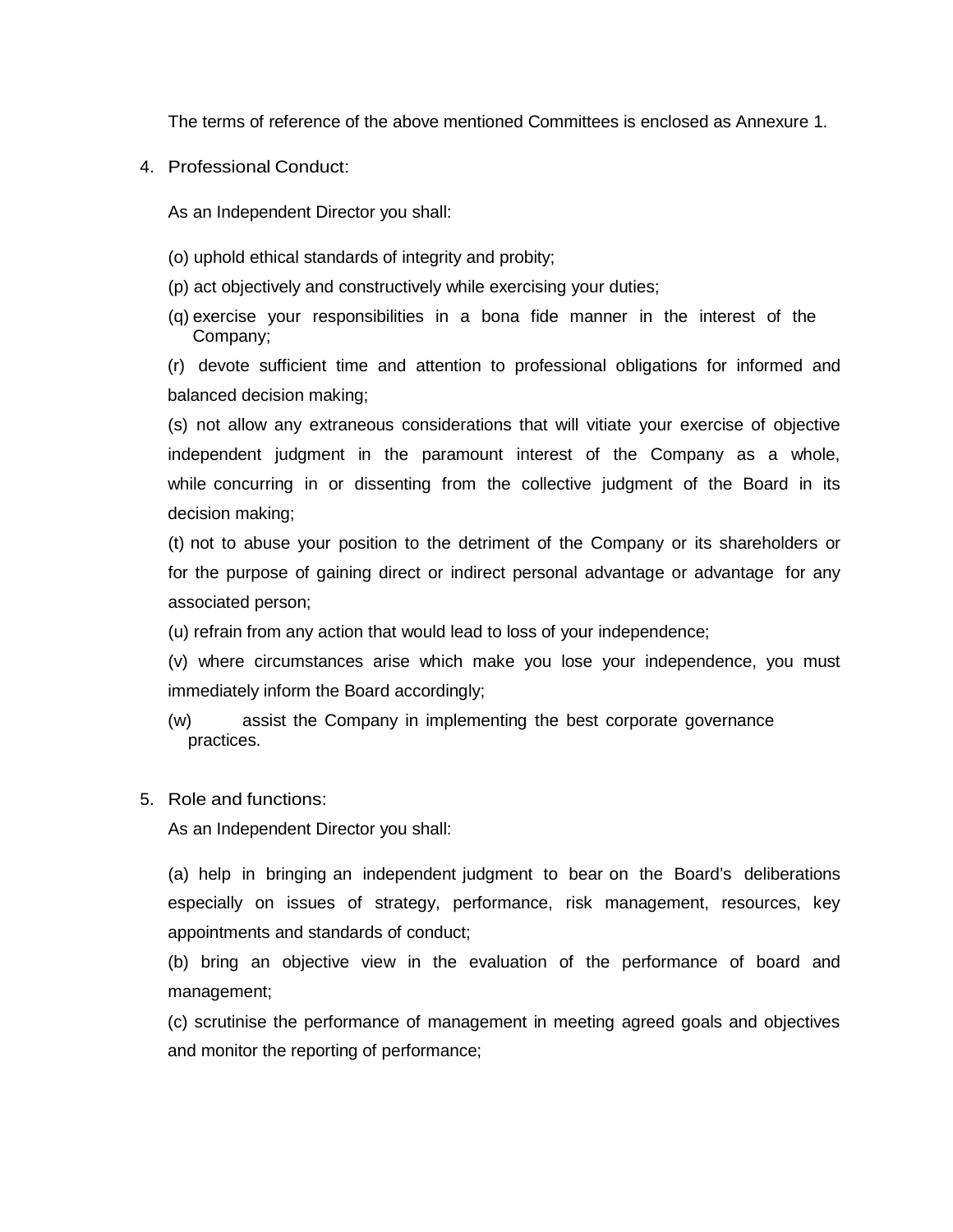The terms of reference of the above mentioned Committees is enclosed as Annexure 1.

4. Professional Conduct:

As an Independent Director you shall:

- (o) uphold ethical standards of integrity and probity;
- (p) act objectively and constructively while exercising your duties;
- (q) exercise your responsibilities in a bona fide manner in the interest of the Company;

(r) devote sufficient time and attention to professional obligations for informed and balanced decision making;

(s) not allow any extraneous considerations that will vitiate your exercise of objective independent judgment in the paramount interest of the Company as a whole, while concurring in or dissenting from the collective judgment of the Board in its decision making;

(t) not to abuse your position to the detriment of the Company or its shareholders or for the purpose of gaining direct or indirect personal advantage or advantage for any associated person;

(u) refrain from any action that would lead to loss of your independence;

(v) where circumstances arise which make you lose your independence, you must immediately inform the Board accordingly;

(w) assist the Company in implementing the best corporate governance practices.

5. Role and functions:

As an Independent Director you shall:

(a) help in bringing an independent judgment to bear on the Board's deliberations especially on issues of strategy, performance, risk management, resources, key appointments and standards of conduct;

(b) bring an objective view in the evaluation of the performance of board and management;

(c) scrutinise the performance of management in meeting agreed goals and objectives and monitor the reporting of performance;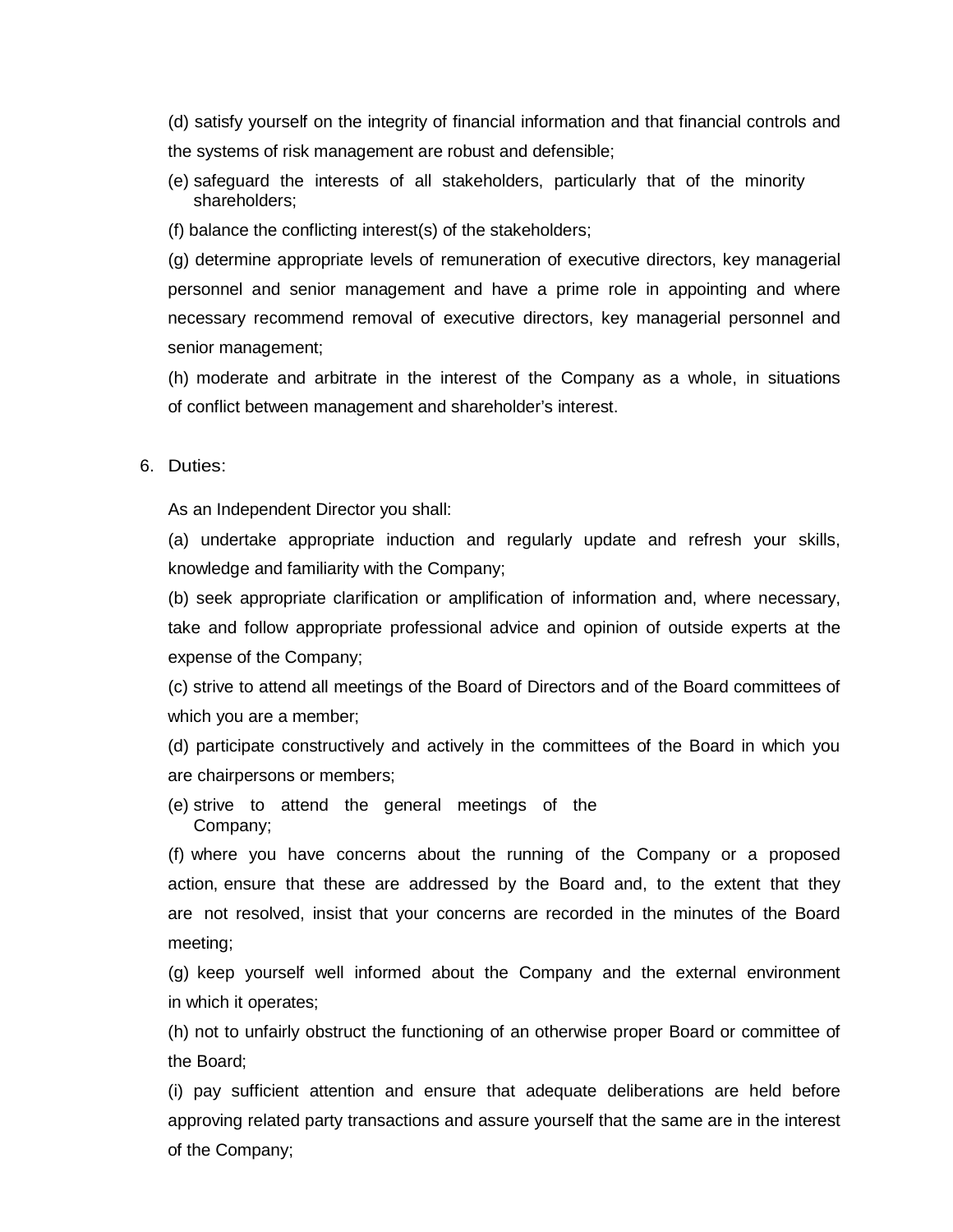(d) satisfy yourself on the integrity of financial information and that financial controls and the systems of risk management are robust and defensible;

- (e) safeguard the interests of all stakeholders, particularly that of the minority shareholders;
- (f) balance the conflicting interest(s) of the stakeholders;

(g) determine appropriate levels of remuneration of executive directors, key managerial personnel and senior management and have a prime role in appointing and where necessary recommend removal of executive directors, key managerial personnel and senior management;

(h) moderate and arbitrate in the interest of the Company as a whole, in situations of conflict between management and shareholder's interest.

## 6. Duties:

As an Independent Director you shall:

(a) undertake appropriate induction and regularly update and refresh your skills, knowledge and familiarity with the Company;

(b) seek appropriate clarification or amplification of information and, where necessary, take and follow appropriate professional advice and opinion of outside experts at the expense of the Company;

(c) strive to attend all meetings of the Board of Directors and of the Board committees of which you are a member;

(d) participate constructively and actively in the committees of the Board in which you are chairpersons or members;

(e) strive to attend the general meetings of the Company;

(f) where you have concerns about the running of the Company or a proposed action, ensure that these are addressed by the Board and, to the extent that they are not resolved, insist that your concerns are recorded in the minutes of the Board meeting;

(g) keep yourself well informed about the Company and the external environment in which it operates;

(h) not to unfairly obstruct the functioning of an otherwise proper Board or committee of the Board;

(i) pay sufficient attention and ensure that adequate deliberations are held before approving related party transactions and assure yourself that the same are in the interest of the Company;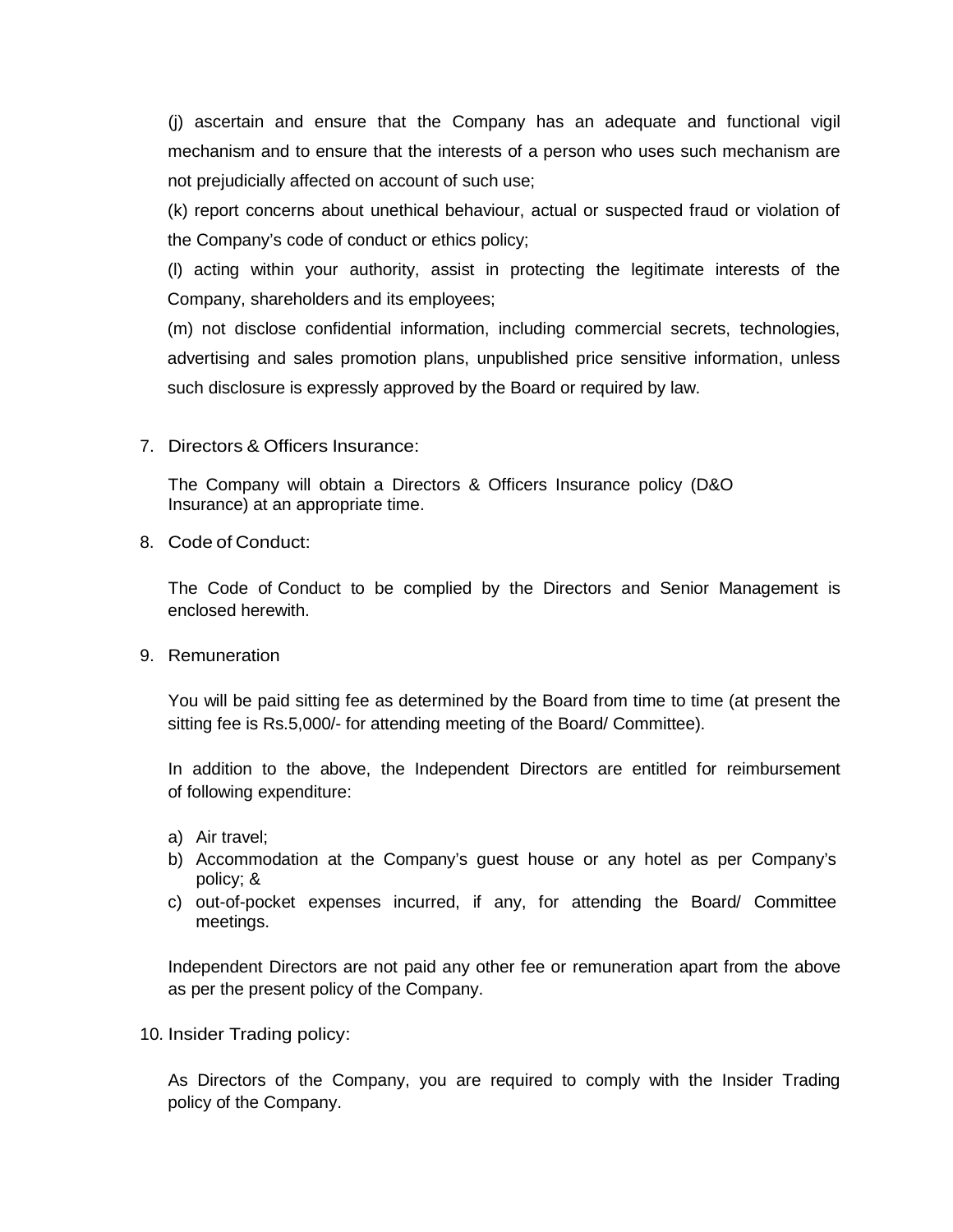(j) ascertain and ensure that the Company has an adequate and functional vigil mechanism and to ensure that the interests of a person who uses such mechanism are not prejudicially affected on account of such use;

(k) report concerns about unethical behaviour, actual or suspected fraud or violation of the Company's code of conduct or ethics policy;

(l) acting within your authority, assist in protecting the legitimate interests of the Company, shareholders and its employees;

(m) not disclose confidential information, including commercial secrets, technologies, advertising and sales promotion plans, unpublished price sensitive information, unless such disclosure is expressly approved by the Board or required by law.

7. Directors & Officers Insurance:

The Company will obtain a Directors & Officers Insurance policy (D&O Insurance) at an appropriate time.

8. Code of Conduct:

The Code of Conduct to be complied by the Directors and Senior Management is enclosed herewith.

9. Remuneration

You will be paid sitting fee as determined by the Board from time to time (at present the sitting fee is Rs.5,000/- for attending meeting of the Board/ Committee).

In addition to the above, the Independent Directors are entitled for reimbursement of following expenditure:

- a) Air travel;
- b) Accommodation at the Company's guest house or any hotel as per Company's policy; &
- c) out-of-pocket expenses incurred, if any, for attending the Board/ Committee meetings.

Independent Directors are not paid any other fee or remuneration apart from the above as per the present policy of the Company.

10. Insider Trading policy:

As Directors of the Company, you are required to comply with the Insider Trading policy of the Company.